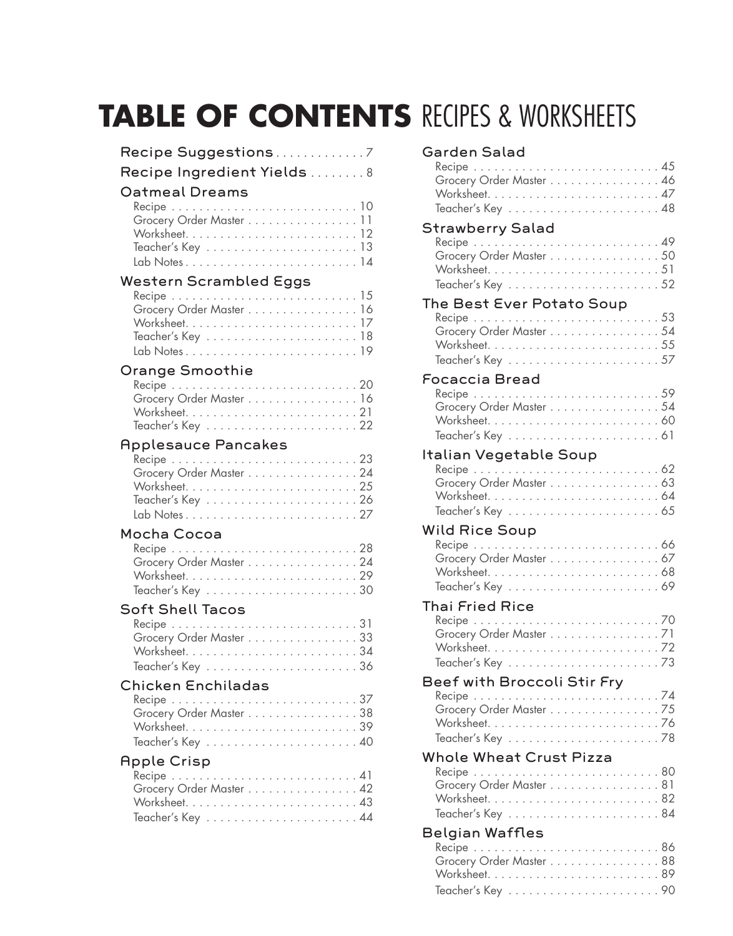# **Table of Contents** RECIPES & Worksheets

| Recipe Suggestions7<br>Recipe Ingredient Yields  8 |                         |
|----------------------------------------------------|-------------------------|
| <b>Oatmeal Dreams</b>                              | Grocery Order Master 11 |
| <b>Western Scrambled Eggs</b>                      | Grocery Order Master 16 |
| <b>Orange Smoothie</b>                             | Grocery Order Master 16 |
| <b>Applesauce Pancakes</b>                         | Grocery Order Master 24 |
| Mocha Cocoa                                        | Grocery Order Master 24 |
| <b>Soft Shell Tacos</b>                            | Grocery Order Master 33 |
| <b>Chicken Enchiladas</b>                          | Grocery Order Master 38 |

#### Teacher's Key. 40 Apple Crisp

| Recipe $\dots \dots \dots \dots \dots \dots \dots \dots \dots \dots 41$ |
|-------------------------------------------------------------------------|
| Grocery Order Master 42                                                 |
|                                                                         |
|                                                                         |

Worksheet. . 39

### Garden Salad

| Varuch Jalau<br>Grocery Order Master 46                                                                            |  |
|--------------------------------------------------------------------------------------------------------------------|--|
| <b>Strawberry Salad</b><br>Grocery Order Master 50                                                                 |  |
| The Best Ever Potato Soup<br>Grocery Order Master 54                                                               |  |
| Focaccia Bread<br>Grocery Order Master 54<br>$Teacher's Key \dots \dots \dots \dots \dots \dots \dots \dots \dots$ |  |
| <b>Italian Vegetable Soup</b><br>Grocery Order Master 63                                                           |  |
| <b>Wild Rice Soup</b><br>Grocery Order Master 67                                                                   |  |
| <b>Thai Fried Rice</b><br>Grocery Order Master 71                                                                  |  |
| Beef with Broccoli Stir Fry<br>Grocery Order Master 75                                                             |  |
| <b>Whole Wheat Crust Pizza</b><br>Grocery Order Master 81                                                          |  |
| Belgian Waffles<br>Grocery Order Master 88                                                                         |  |